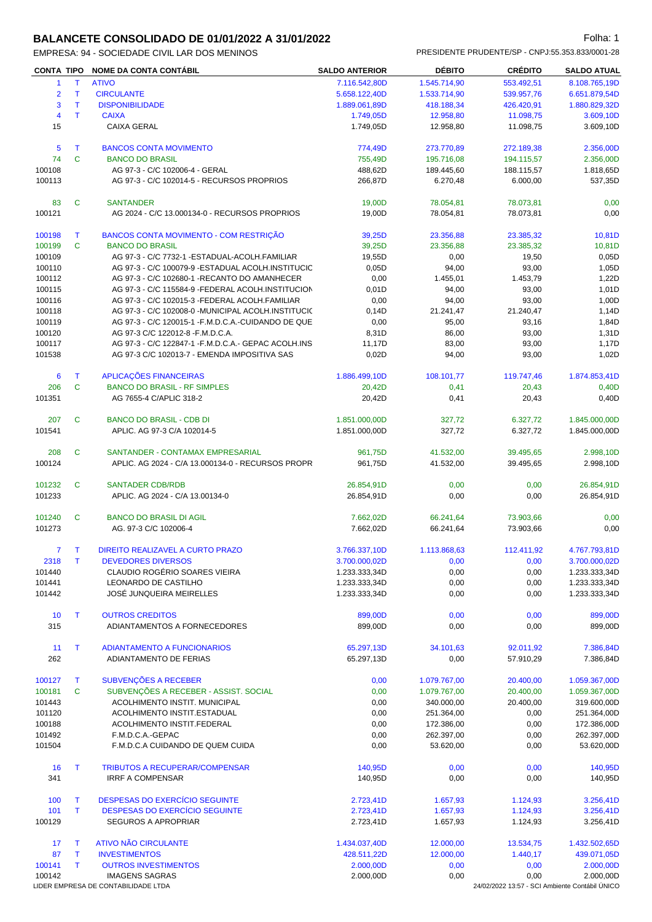### **BALANCETE CONSOLIDADO DE 01/01/2022 A 31/01/2022 Folha: 1** Folha: 1

| <b>CONTA TIPO</b> |              | <b>NOME DA CONTA CONTÁBIL</b>                                    | <b>SALDO ANTERIOR</b> | <b>DÉBITO</b>                | <b>CRÉDITO</b>         | <b>SALDO ATUAL</b>                             |
|-------------------|--------------|------------------------------------------------------------------|-----------------------|------------------------------|------------------------|------------------------------------------------|
| 1                 | T            | <b>ATIVO</b>                                                     | 7.116.542,80D         | 1.545.714,90                 | 553.492,51             | 8.108.765,19D                                  |
| $\overline{2}$    | T            | <b>CIRCULANTE</b>                                                | 5.658.122,40D         | 1.533.714,90                 | 539.957,76             | 6.651.879,54D                                  |
| 3                 | т            | <b>DISPONIBILIDADE</b>                                           | 1.889.061,89D         | 418.188,34                   | 426.420,91             | 1.880.829,32D                                  |
| 4                 | T.           | <b>CAIXA</b>                                                     | 1.749,05D             | 12.958,80                    | 11.098,75              | 3.609,10D                                      |
| 15                |              | <b>CAIXA GERAL</b>                                               | 1.749,05D             | 12.958,80                    | 11.098,75              | 3.609,10D                                      |
| 5                 | T            | <b>BANCOS CONTA MOVIMENTO</b>                                    | 774,49D               | 273.770,89                   | 272.189,38             | 2.356,00D                                      |
| 74                | $\mathbf C$  | <b>BANCO DO BRASIL</b>                                           | 755,49D               | 195.716,08                   | 194.115,57             | 2.356,00D                                      |
| 100108            |              | AG 97-3 - C/C 102006-4 - GERAL                                   | 488,62D               | 189.445,60                   | 188.115,57             | 1.818,65D                                      |
| 100113            |              | AG 97-3 - C/C 102014-5 - RECURSOS PROPRIOS                       | 266,87D               | 6.270,48                     | 6.000,00               | 537,35D                                        |
| 83                | C            | <b>SANTANDER</b>                                                 | 19,00D                | 78.054,81                    | 78.073,81              | 0,00                                           |
| 100121            |              | AG 2024 - C/C 13.000134-0 - RECURSOS PROPRIOS                    | 19,00D                | 78.054,81                    | 78.073,81              | 0,00                                           |
| 100198            | Τ            | BANCOS CONTA MOVIMENTO - COM RESTRIÇÃO                           | 39,25D                | 23.356,88                    | 23.385,32              | 10,81D                                         |
| 100199            | C            | <b>BANCO DO BRASIL</b>                                           | 39,25D                | 23.356,88                    | 23.385,32              | 10,81D                                         |
| 100109            |              | AG 97-3 - C/C 7732-1 - ESTADUAL-ACOLH. FAMILIAR                  | 19,55D                | 0,00                         | 19,50                  | 0,05D                                          |
| 100110            |              | AG 97-3 - C/C 100079-9 - ESTADUAL ACOLH.INSTITUCIC               | 0,05D                 | 94,00                        | 93,00                  | 1,05D                                          |
| 100112            |              | AG 97-3 - C/C 102680-1 -RECANTO DO AMANHECER                     | 0,00                  | 1.455,01                     | 1.453,79               | 1,22D                                          |
| 100115            |              | AG 97-3 - C/C 115584-9 - FEDERAL ACOLH.INSTITUCION               | 0,01D                 | 94,00                        | 93,00                  | 1,01D                                          |
| 100116            |              | AG 97-3 - C/C 102015-3 - FEDERAL ACOLH. FAMILIAR                 | 0,00                  | 94,00                        | 93,00                  | 1,00D                                          |
| 100118            |              | AG 97-3 - C/C 102008-0 -MUNICIPAL ACOLH.INSTITUCIO               | 0,14D                 | 21.241,47                    | 21.240,47              | 1,14D                                          |
| 100119            |              | AG 97-3 - C/C 120015-1 - F.M.D.C.A.-CUIDANDO DE QUE              | 0,00                  | 95,00                        | 93,16                  | 1,84D                                          |
| 100120            |              | AG 97-3 C/C 122012-8 - F.M.D.C.A.                                | 8,31D                 | 86,00                        | 93,00                  | 1,31D                                          |
| 100117            |              | AG 97-3 - C/C 122847-1 - F.M.D.C.A. - GEPAC ACOLH.INS            | 11,17D                | 83,00                        | 93,00                  | 1,17D                                          |
| 101538            |              | AG 97-3 C/C 102013-7 - EMENDA IMPOSITIVA SAS                     | 0,02D                 | 94,00                        | 93,00                  | 1,02D                                          |
| 6                 | T            | APLICAÇÕES FINANCEIRAS                                           | 1.886.499,10D         | 108.101,77                   | 119.747,46             | 1.874.853,41D                                  |
| 206               | $\mathbf{C}$ | <b>BANCO DO BRASIL - RF SIMPLES</b>                              | 20,42D                | 0,41                         | 20,43                  | 0,40D                                          |
| 101351            |              | AG 7655-4 C/APLIC 318-2                                          | 20,42D                | 0,41                         | 20,43                  | 0,40D                                          |
| 207               | C            | <b>BANCO DO BRASIL - CDB DI</b>                                  | 1.851.000,00D         | 327,72                       | 6.327,72               | 1.845.000,00D                                  |
| 101541            |              | APLIC. AG 97-3 C/A 102014-5                                      | 1.851.000,00D         | 327,72                       | 6.327,72               | 1.845.000,00D                                  |
| 208               | C            | SANTANDER - CONTAMAX EMPRESARIAL                                 | 961,75D               | 41.532,00                    | 39.495,65              | 2.998,10D                                      |
| 100124            |              | APLIC. AG 2024 - C/A 13.000134-0 - RECURSOS PROPR                | 961,75D               | 41.532,00                    | 39.495,65              | 2.998,10D                                      |
|                   |              |                                                                  |                       |                              |                        |                                                |
| 101232            | C            | <b>SANTADER CDB/RDB</b>                                          | 26.854,91D            | 0,00                         | 0,00                   | 26.854,91D                                     |
| 101233            |              | APLIC. AG 2024 - C/A 13.00134-0                                  | 26.854,91D            | 0,00                         | 0,00                   | 26.854,91D                                     |
| 101240            | С            | <b>BANCO DO BRASIL DI AGIL</b>                                   | 7.662,02D             | 66.241,64                    | 73.903,66              | 0,00                                           |
| 101273            |              | AG. 97-3 C/C 102006-4                                            | 7.662,02D             | 66.241,64                    | 73.903,66              | 0,00                                           |
| 7                 | $\top$       | DIREITO REALIZAVEL A CURTO PRAZO                                 | 3.766.337,10D         | 1.113.868,63                 | 112.411,92             | 4.767.793.81D                                  |
| 2318              | $\mathsf T$  | <b>DEVEDORES DIVERSOS</b>                                        | 3.700.000,02D         | 0,00                         | 0,00                   | 3.700.000,02D                                  |
| 101440            |              | CLAUDIO ROGÉRIO SOARES VIEIRA                                    | 1.233.333,34D         | 0,00                         | 0,00                   | 1.233.333,34D                                  |
| 101441            |              | LEONARDO DE CASTILHO                                             | 1.233.333,34D         | 0,00                         | 0,00                   | 1.233.333,34D                                  |
| 101442            |              | JOSÉ JUNQUEIRA MEIRELLES                                         | 1.233.333,34D         | 0,00                         | 0,00                   | 1.233.333,34D                                  |
| 10                | Τ            | <b>OUTROS CREDITOS</b>                                           | 899,00D               | 0,00                         | 0,00                   | 899,00D                                        |
| 315               |              | ADIANTAMENTOS A FORNECEDORES                                     | 899,00D               | 0,00                         | 0,00                   | 899,00D                                        |
| 11                | Τ            | <b>ADIANTAMENTO A FUNCIONARIOS</b>                               | 65.297,13D            | 34.101,63                    | 92.011,92              | 7.386,84D                                      |
| 262               |              | ADIANTAMENTO DE FERIAS                                           | 65.297,13D            | 0,00                         | 57.910,29              | 7.386,84D                                      |
|                   |              | SUBVENÇÕES A RECEBER                                             |                       |                              |                        |                                                |
| 100127<br>100181  | T<br>C       | SUBVENÇÕES A RECEBER - ASSIST. SOCIAL                            | 0,00<br>0,00          | 1.079.767,00<br>1.079.767,00 | 20.400,00<br>20.400,00 | 1.059.367,00D<br>1.059.367,00D                 |
| 101443            |              | ACOLHIMENTO INSTIT. MUNICIPAL                                    | 0,00                  | 340.000,00                   | 20.400,00              | 319.600,00D                                    |
| 101120            |              | ACOLHIMENTO INSTIT.ESTADUAL                                      | 0,00                  | 251.364,00                   | 0,00                   | 251.364,00D                                    |
| 100188            |              | ACOLHIMENTO INSTIT.FEDERAL                                       | 0,00                  | 172.386,00                   | 0,00                   | 172.386,00D                                    |
| 101492            |              | F.M.D.C.A.-GEPAC                                                 | 0,00                  | 262.397,00                   | 0,00                   | 262.397,00D                                    |
| 101504            |              | F.M.D.C.A CUIDANDO DE QUEM CUIDA                                 | 0,00                  | 53.620,00                    | 0,00                   | 53.620,00D                                     |
|                   |              |                                                                  |                       |                              |                        |                                                |
| 16<br>341         | Τ            | <b>TRIBUTOS A RECUPERAR/COMPENSAR</b><br><b>IRRF A COMPENSAR</b> | 140,95D<br>140,95D    | 0,00<br>0,00                 | 0,00<br>0,00           | 140,95D<br>140,95D                             |
|                   |              |                                                                  |                       |                              |                        |                                                |
| 100               | Τ            | <b>DESPESAS DO EXERCÍCIO SEGUINTE</b>                            | 2.723,41D             | 1.657,93                     | 1.124,93               | 3.256,41D                                      |
| 101               | T.           | DESPESAS DO EXERCÍCIO SEGUINTE                                   | 2.723,41D             | 1.657,93                     | 1.124,93               | 3.256,41D                                      |
| 100129            |              | SEGUROS A APROPRIAR                                              | 2.723,41D             | 1.657,93                     | 1.124,93               | 3.256,41D                                      |
| 17                | T            | <b>ATIVO NÃO CIRCULANTE</b>                                      | 1.434.037,40D         | 12.000,00                    | 13.534,75              | 1.432.502,65D                                  |
| 87                | Τ            | <b>INVESTIMENTOS</b>                                             | 428.511,22D           | 12.000,00                    | 1.440,17               | 439.071,05D                                    |
| 100141            | Τ            | <b>OUTROS INVESTIMENTOS</b>                                      | 2.000,00D             | 0,00                         | 0,00                   | 2.000,00D                                      |
| 100142            |              | <b>IMAGENS SAGRAS</b><br>LIDER EMPRESA DE CONTABILIDADE LTDA     | 2.000,00D             | 0,00                         | 0,00                   | 2.000,00D                                      |
|                   |              |                                                                  |                       |                              |                        | 24/02/2022 13:57 - SCI Ambiente Contábil ÚNICO |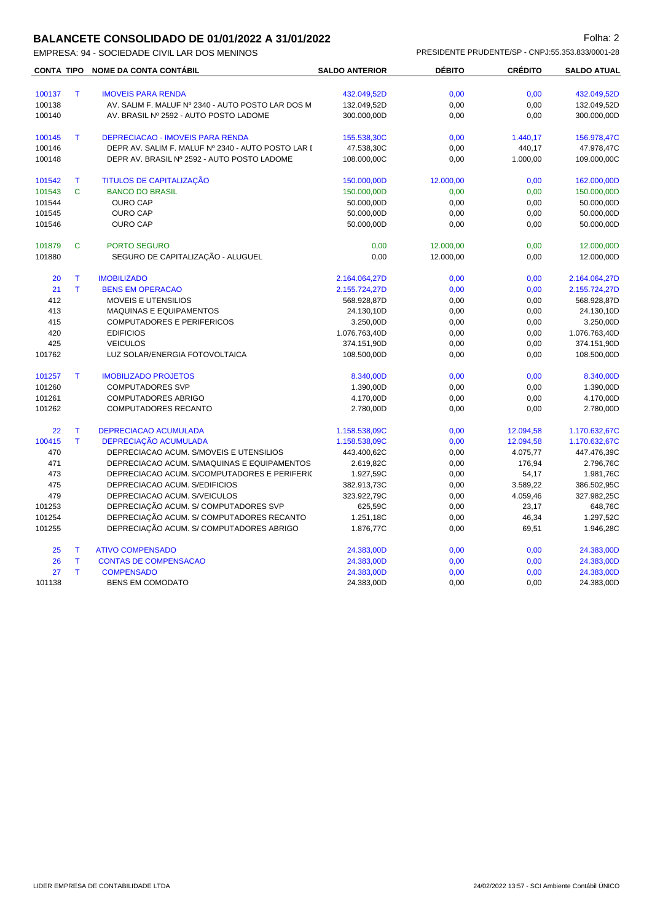# **BALANCETE CONSOLIDADO DE 01/01/2022 A 31/01/2022 Folha: 2** Folha: 2

| <b>CONTA TIPO</b> |              | <b>NOME DA CONTA CONTÁBIL</b>                      | <b>SALDO ANTERIOR</b>      | <b>DÉBITO</b> | <b>CRÉDITO</b> | <b>SALDO ATUAL</b>         |
|-------------------|--------------|----------------------------------------------------|----------------------------|---------------|----------------|----------------------------|
| 100137            | T            | <b>IMOVEIS PARA RENDA</b>                          |                            |               |                |                            |
| 100138            |              | AV. SALIM F. MALUF Nº 2340 - AUTO POSTO LAR DOS M  | 432.049,52D<br>132.049,52D | 0,00<br>0,00  | 0,00<br>0,00   | 432.049,52D<br>132.049,52D |
|                   |              |                                                    |                            |               |                |                            |
| 100140            |              | AV. BRASIL Nº 2592 - AUTO POSTO LADOME             | 300.000,00D                | 0,00          | 0,00           | 300.000,00D                |
| 100145            | T            | <b>DEPRECIACAO - IMOVEIS PARA RENDA</b>            | 155.538,30C                | 0,00          | 1.440,17       | 156.978,47C                |
| 100146            |              | DEPR AV. SALIM F. MALUF Nº 2340 - AUTO POSTO LAR I | 47.538,30C                 | 0,00          | 440,17         | 47.978,47C                 |
| 100148            |              | DEPR AV. BRASIL Nº 2592 - AUTO POSTO LADOME        | 108.000,00C                | 0,00          | 1.000,00       | 109.000,00C                |
| 101542            | т            | <b>TITULOS DE CAPITALIZAÇÃO</b>                    | 150.000,00D                | 12.000,00     | 0,00           | 162.000,00D                |
| 101543            | C            | <b>BANCO DO BRASIL</b>                             | 150.000,00D                | 0,00          | 0,00           | 150.000,00D                |
| 101544            |              | <b>OURO CAP</b>                                    | 50.000,00D                 | 0,00          | 0,00           | 50.000,00D                 |
| 101545            |              | <b>OURO CAP</b>                                    | 50.000,00D                 | 0,00          | 0,00           | 50.000,00D                 |
| 101546            |              | <b>OURO CAP</b>                                    | 50.000,00D                 | 0,00          | 0,00           | 50.000,00D                 |
|                   |              |                                                    |                            |               |                |                            |
| 101879            | $\mathbf C$  | PORTO SEGURO                                       | 0,00                       | 12.000,00     | 0,00           | 12.000,00D                 |
| 101880            |              | SEGURO DE CAPITALIZAÇÃO - ALUGUEL                  | 0,00                       | 12.000,00     | 0,00           | 12.000,00D                 |
| 20                | $\mathsf{T}$ | <b>IMOBILIZADO</b>                                 | 2.164.064,27D              | 0,00          | 0,00           | 2.164.064,27D              |
| 21                | $\mathsf{T}$ | <b>BENS EM OPERACAO</b>                            | 2.155.724,27D              | 0,00          | 0,00           | 2.155.724,27D              |
| 412               |              | MOVEIS E UTENSILIOS                                | 568.928,87D                | 0,00          | 0,00           | 568.928,87D                |
| 413               |              | MAQUINAS E EQUIPAMENTOS                            | 24.130,10D                 | 0,00          | 0,00           | 24.130,10D                 |
| 415               |              | <b>COMPUTADORES E PERIFERICOS</b>                  | 3.250,00D                  | 0,00          | 0,00           | 3.250,00D                  |
| 420               |              | <b>EDIFICIOS</b>                                   | 1.076.763,40D              | 0,00          | 0,00           | 1.076.763,40D              |
| 425               |              | <b>VEICULOS</b>                                    | 374.151,90D                | 0,00          | 0,00           | 374.151,90D                |
| 101762            |              | LUZ SOLAR/ENERGIA FOTOVOLTAICA                     | 108.500,00D                | 0,00          | 0,00           | 108.500,00D                |
|                   |              |                                                    |                            |               |                |                            |
| 101257            | T            | <b>IMOBILIZADO PROJETOS</b>                        | 8.340,00D                  | 0,00          | 0,00           | 8.340,00D                  |
| 101260            |              | <b>COMPUTADORES SVP</b>                            | 1.390,00D                  | 0,00          | 0,00           | 1.390,00D                  |
| 101261            |              | COMPUTADORES ABRIGO                                | 4.170,00D                  | 0,00          | 0,00           | 4.170,00D                  |
| 101262            |              | COMPUTADORES RECANTO                               | 2.780,00D                  | 0,00          | 0,00           | 2.780,00D                  |
| 22                | т            | <b>DEPRECIACAO ACUMULADA</b>                       | 1.158.538,09C              | 0,00          | 12.094,58      | 1.170.632,67C              |
| 100415            | T.           | DEPRECIAÇÃO ACUMULADA                              | 1.158.538,09C              | 0,00          | 12.094,58      | 1.170.632,67C              |
| 470               |              | DEPRECIACAO ACUM. S/MOVEIS E UTENSILIOS            | 443.400,62C                | 0,00          | 4.075,77       | 447.476,39C                |
| 471               |              | DEPRECIACAO ACUM. S/MAQUINAS E EQUIPAMENTOS        | 2.619,82C                  | 0,00          | 176,94         | 2.796,76C                  |
| 473               |              | DEPRECIACAO ACUM. S/COMPUTADORES E PERIFERIO       | 1.927,59C                  | 0,00          | 54,17          | 1.981,76C                  |
| 475               |              | DEPRECIACAO ACUM. S/EDIFICIOS                      | 382.913,73C                | 0,00          | 3.589,22       | 386.502,95C                |
| 479               |              | DEPRECIACAO ACUM. S/VEICULOS                       | 323.922,79C                | 0,00          | 4.059,46       | 327.982,25C                |
| 101253            |              | DEPRECIAÇÃO ACUM. S/ COMPUTADORES SVP              | 625,59C                    | 0,00          | 23,17          | 648,76C                    |
| 101254            |              | DEPRECIAÇÃO ACUM. S/ COMPUTADORES RECANTO          | 1.251,18C                  | 0,00          | 46,34          | 1.297,52C                  |
| 101255            |              | DEPRECIAÇÃO ACUM. S/ COMPUTADORES ABRIGO           | 1.876,77C                  | 0,00          | 69,51          | 1.946,28C                  |
|                   |              |                                                    |                            |               |                |                            |
| 25                | T            | <b>ATIVO COMPENSADO</b>                            | 24.383,00D                 | 0,00          | 0,00           | 24.383,00D                 |
| 26                | $\mathsf T$  | <b>CONTAS DE COMPENSACAO</b>                       | 24.383,00D                 | 0,00          | 0,00           | 24.383,00D                 |
| 27                | T.           | <b>COMPENSADO</b>                                  | 24.383,00D                 | 0,00          | 0,00           | 24.383,00D                 |
| 101138            |              | <b>BENS EM COMODATO</b>                            | 24.383,00D                 | 0,00          | 0,00           | 24.383,00D                 |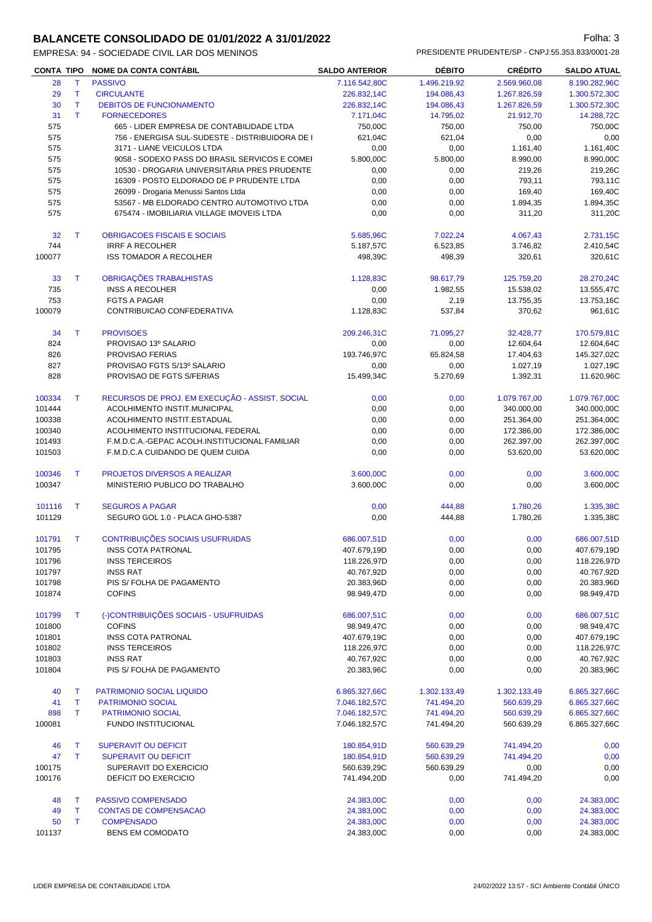## **BALANCETE CONSOLIDADO DE 01/01/2022 A 31/01/2022 Folha: 3** Folha: 3

| <b>CONTA TIPO</b> |              | <b>NOME DA CONTA CONTÁBIL</b>                   | <b>SALDO ANTERIOR</b> | <b>DÉBITO</b> | <b>CRÉDITO</b> | <b>SALDO ATUAL</b> |
|-------------------|--------------|-------------------------------------------------|-----------------------|---------------|----------------|--------------------|
| 28                | т            | <b>PASSIVO</b>                                  | 7.116.542,80C         | 1.496.219,92  | 2.569.960,08   | 8.190.282,96C      |
| 29                | $\mathsf T$  | <b>CIRCULANTE</b>                               | 226.832.14C           | 194.086,43    | 1.267.826,59   | 1.300.572,30C      |
| 30                | $\mathsf T$  | <b>DEBITOS DE FUNCIONAMENTO</b>                 | 226.832,14C           | 194.086,43    | 1.267.826,59   | 1.300.572,30C      |
| 31                | $\mathsf{T}$ | <b>FORNECEDORES</b>                             | 7.171,04C             | 14.795,02     | 21.912,70      | 14.288,72C         |
| 575               |              | 665 - LIDER EMPRESA DE CONTABILIDADE LTDA       | 750,00C               | 750,00        | 750,00         | 750,00C            |
| 575               |              | 756 - ENERGISA SUL-SUDESTE - DISTRIBUIDORA DE I | 621,04C               | 621,04        | 0,00           | 0,00               |
| 575               |              | 3171 - LIANE VEICULOS LTDA                      | 0,00                  | 0,00          | 1.161,40       | 1.161,40C          |
| 575               |              | 9058 - SODEXO PASS DO BRASIL SERVICOS E COMEI   | 5.800,00C             | 5.800,00      | 8.990,00       | 8.990,00C          |
| 575               |              | 10530 - DROGARIA UNIVERSITÁRIA PRES PRUDENTE    | 0,00                  | 0,00          | 219,26         | 219,26C            |
| 575               |              | 16309 - POSTO ELDORADO DE P PRUDENTE LTDA       | 0,00                  | 0,00          | 793,11         | 793,11C            |
| 575               |              | 26099 - Drogaria Menussi Santos Ltda            | 0,00                  | 0,00          | 169,40         | 169,40C            |
| 575               |              | 53567 - MB ELDORADO CENTRO AUTOMOTIVO LTDA      | 0,00                  | 0,00          | 1.894,35       | 1.894,35C          |
| 575               |              | 675474 - IMOBILIARIA VILLAGE IMOVEIS LTDA       | 0,00                  | 0,00          | 311,20         | 311,20C            |
| 32                | $\mathsf{T}$ | <b>OBRIGACOES FISCAIS E SOCIAIS</b>             | 5.685,96C             | 7.022,24      | 4.067,43       | 2.731,15C          |
| 744               |              | <b>IRRF A RECOLHER</b>                          | 5.187,57C             | 6.523,85      | 3.746,82       | 2.410,54C          |
| 100077            |              | <b>ISS TOMADOR A RECOLHER</b>                   | 498,39C               | 498,39        | 320,61         | 320,61C            |
| 33                | T            | OBRIGAÇÕES TRABALHISTAS                         | 1.128,83C             | 98.617,79     | 125.759,20     | 28.270,24C         |
| 735               |              | <b>INSS A RECOLHER</b>                          | 0,00                  | 1.982,55      | 15.538,02      | 13.555,47C         |
| 753               |              | <b>FGTS A PAGAR</b>                             | 0,00                  | 2,19          | 13.755,35      | 13.753,16C         |
| 100079            |              | CONTRIBUICAO CONFEDERATIVA                      | 1.128,83C             | 537,84        | 370,62         | 961,61C            |
| 34                | $\mathsf T$  | <b>PROVISOES</b>                                | 209.246,31C           | 71.095,27     | 32.428,77      | 170.579,81C        |
| 824               |              | PROVISAO 13º SALARIO                            | 0,00                  | 0,00          | 12.604,64      | 12.604,64C         |
| 826               |              | PROVISAO FERIAS                                 | 193.746,97C           | 65.824,58     | 17.404,63      | 145.327,02C        |
| 827               |              | PROVISAO FGTS S/13º SALARIO                     | 0,00                  | 0,00          | 1.027,19       | 1.027,19C          |
| 828               |              | PROVISAO DE FGTS S/FERIAS                       | 15.499,34C            | 5.270,69      | 1.392,31       | 11.620,96C         |
| 100334            | т            | RECURSOS DE PROJ. EM EXECUÇÃO - ASSIST. SOCIAL  | 0,00                  | 0,00          | 1.079.767,00   | 1.079.767,00C      |
| 101444            |              | ACOLHIMENTO INSTIT.MUNICIPAL                    | 0,00                  | 0,00          | 340.000,00     | 340.000,00C        |
| 100338            |              | ACOLHIMENTO INSTIT.ESTADUAL                     | 0,00                  | 0,00          | 251.364,00     | 251.364,00C        |
| 100340            |              | ACOLHIMENTO INSTITUCIONAL FEDERAL               | 0,00                  | 0,00          | 172.386,00     | 172.386,00C        |
| 101493            |              | F.M.D.C.A.-GEPAC ACOLH.INSTITUCIONAL FAMILIAR   | 0,00                  | 0,00          | 262.397,00     | 262.397,00C        |
| 101503            |              | F.M.D.C.A CUIDANDO DE QUEM CUIDA                | 0,00                  | 0,00          | 53.620,00      | 53.620,00C         |
| 100346            | т            | <b>PROJETOS DIVERSOS A REALIZAR</b>             | 3.600,00C             | 0,00          | 0,00           | 3.600,00C          |
| 100347            |              | MINISTERIO PUBLICO DO TRABALHO                  | 3.600,00C             | 0,00          | 0,00           | 3.600,00C          |
| 101116            | Т            | <b>SEGUROS A PAGAR</b>                          | 0,00                  | 444,88        | 1.780,26       | 1.335,38C          |
| 101129            |              | SEGURO GOL 1.0 - PLACA GHO-5387                 | 0,00                  | 444,88        | 1.780,26       | 1.335,38C          |
|                   |              |                                                 |                       |               |                |                    |
| 101791            | T            | <b>CONTRIBUIÇÕES SOCIAIS USUFRUIDAS</b>         | 686.007,51D           | 0,00          | 0,00           | 686.007,51D        |
| 101795            |              | INSS COTA PATRONAL                              | 407.679,19D           | 0,00          | 0,00           | 407.679,19D        |
| 101796            |              | <b>INSS TERCEIROS</b>                           | 118.226,97D           | 0,00          | 0,00           | 118.226,97D        |
| 101797            |              | <b>INSS RAT</b>                                 | 40.767,92D            | 0,00          | 0,00           | 40.767,92D         |
| 101798            |              | PIS S/ FOLHA DE PAGAMENTO                       | 20.383,96D            | 0,00          | 0,00           | 20.383,96D         |
| 101874            |              | <b>COFINS</b>                                   | 98.949,47D            | 0,00          | 0,00           | 98.949,47D         |
| 101799            | T            | (-)CONTRIBUIÇÕES SOCIAIS - USUFRUIDAS           | 686.007,51C           | 0,00          | 0,00           | 686.007,51C        |
| 101800            |              | <b>COFINS</b>                                   | 98.949,47C            | 0,00          | 0,00           | 98.949,47C         |
| 101801            |              | INSS COTA PATRONAL                              | 407.679,19C           | 0,00          | 0,00           | 407.679,19C        |
| 101802            |              | <b>INSS TERCEIROS</b>                           | 118.226,97C           | 0,00          | 0,00           | 118.226,97C        |
| 101803            |              | <b>INSS RAT</b>                                 | 40.767,92C            | 0,00          | 0,00           | 40.767,92C         |
| 101804            |              | PIS S/ FOLHA DE PAGAMENTO                       | 20.383,96C            | 0,00          | 0,00           | 20.383,96C         |
| 40                | Т            | PATRIMONIO SOCIAL LIQUIDO                       | 6.865.327,66C         | 1.302.133,49  | 1.302.133,49   | 6.865.327,66C      |
| 41                | т            | <b>PATRIMONIO SOCIAL</b>                        | 7.046.182,57C         | 741.494,20    | 560.639,29     | 6.865.327,66C      |
| 898               | T            | <b>PATRIMONIO SOCIAL</b>                        | 7.046.182,57C         | 741.494,20    | 560.639,29     | 6.865.327,66C      |
| 100081            |              | FUNDO INSTITUCIONAL                             | 7.046.182,57C         | 741.494,20    | 560.639,29     | 6.865.327,66C      |
| 46                | Т            | <b>SUPERAVIT OU DEFICIT</b>                     | 180.854,91D           | 560.639,29    | 741.494,20     | 0,00               |
| 47                | т            | <b>SUPERAVIT OU DEFICIT</b>                     | 180.854,91D           | 560.639,29    | 741.494,20     | 0,00               |
| 100175            |              | SUPERAVIT DO EXERCICIO                          | 560.639,29C           | 560.639,29    | 0,00           | 0,00               |
| 100176            |              | DEFICIT DO EXERCICIO                            | 741.494,20D           | 0,00          | 741.494,20     | 0,00               |
|                   |              |                                                 |                       |               |                |                    |
| 48                | Т            | <b>PASSIVO COMPENSADO</b>                       | 24.383,00C            | 0,00          | 0,00           | 24.383,00C         |
| 49                | T            | <b>CONTAS DE COMPENSACAO</b>                    | 24.383,00C            | 0,00          | 0,00           | 24.383,00C         |
| 50                | т            | <b>COMPENSADO</b>                               | 24.383,00C            | 0,00          | 0,00           | 24.383,00C         |
| 101137            |              | BENS EM COMODATO                                | 24.383,00C            | 0,00          | 0,00           | 24.383,00C         |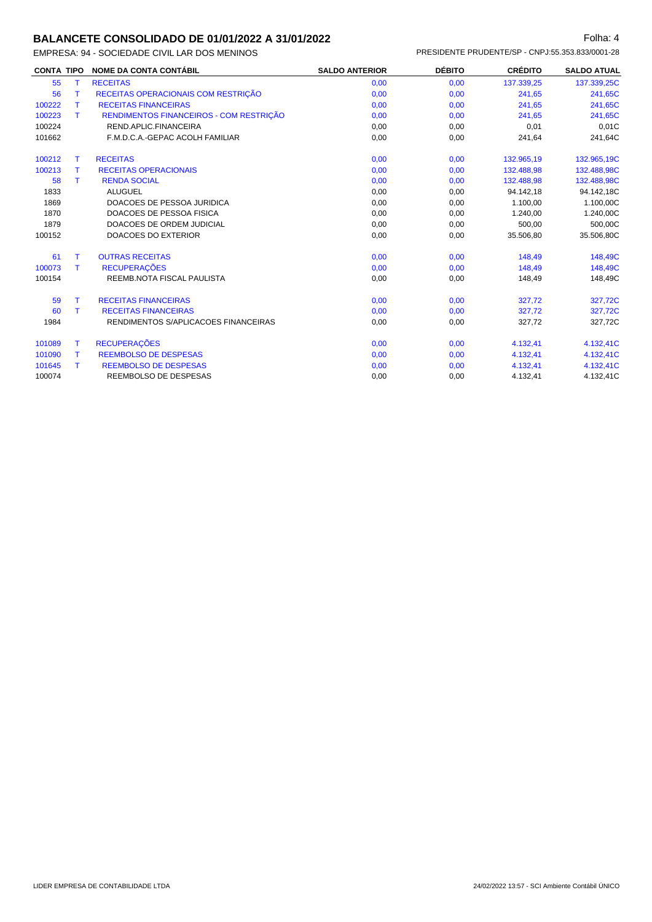## **BALANCETE CONSOLIDADO DE 01/01/2022 A 31/01/2022 Folha: 4** Folha: 4

| <b>CONTA TIPO</b> |              | <b>NOME DA CONTA CONTÁBIL</b>           | <b>SALDO ANTERIOR</b> | <b>DÉBITO</b> | <b>CRÉDITO</b> | <b>SALDO ATUAL</b> |
|-------------------|--------------|-----------------------------------------|-----------------------|---------------|----------------|--------------------|
| 55                | $\mathsf{T}$ | <b>RECEITAS</b>                         | 0,00                  | 0,00          | 137.339,25     | 137.339,25C        |
| 56                | $\mathsf{T}$ | RECEITAS OPERACIONAIS COM RESTRIÇÃO     | 0,00                  | 0.00          | 241,65         | 241,65C            |
| 100222            | т            | <b>RECEITAS FINANCEIRAS</b>             | 0,00                  | 0,00          | 241,65         | 241,65C            |
| 100223            | $\mathsf{T}$ | RENDIMENTOS FINANCEIROS - COM RESTRIÇÃO | 0,00                  | 0,00          | 241,65         | 241,65C            |
| 100224            |              | REND.APLIC.FINANCEIRA                   | 0,00                  | 0,00          | 0,01           | 0,01C              |
| 101662            |              | F.M.D.C.A.-GEPAC ACOLH FAMILIAR         | 0,00                  | 0,00          | 241,64         | 241,64C            |
| 100212            | т            | <b>RECEITAS</b>                         | 0,00                  | 0,00          | 132.965,19     | 132.965,19C        |
| 100213            | т            | <b>RECEITAS OPERACIONAIS</b>            | 0,00                  | 0,00          | 132.488,98     | 132.488,98C        |
| 58                | T            | <b>RENDA SOCIAL</b>                     | 0,00                  | 0,00          | 132.488,98     | 132.488,98C        |
| 1833              |              | <b>ALUGUEL</b>                          | 0,00                  | 0,00          | 94.142,18      | 94.142,18C         |
| 1869              |              | DOACOES DE PESSOA JURIDICA              | 0,00                  | 0,00          | 1.100,00       | 1.100,00C          |
| 1870              |              | DOACOES DE PESSOA FISICA                | 0,00                  | 0,00          | 1.240,00       | 1.240,00C          |
| 1879              |              | DOACOES DE ORDEM JUDICIAL               | 0,00                  | 0,00          | 500,00         | 500,00C            |
| 100152            |              | DOACOES DO EXTERIOR                     | 0,00                  | 0,00          | 35.506,80      | 35.506,80C         |
| 61                | $\mathsf{T}$ | <b>OUTRAS RECEITAS</b>                  | 0,00                  | 0,00          | 148,49         | 148,49C            |
| 100073            | T            | <b>RECUPERAÇÕES</b>                     | 0,00                  | 0,00          | 148,49         | 148,49C            |
| 100154            |              | REEMB.NOTA FISCAL PAULISTA              | 0,00                  | 0,00          | 148,49         | 148,49C            |
| 59                | T            | <b>RECEITAS FINANCEIRAS</b>             | 0,00                  | 0,00          | 327,72         | 327,72C            |
| 60                | T            | <b>RECEITAS FINANCEIRAS</b>             | 0,00                  | 0,00          | 327,72         | 327,72C            |
| 1984              |              | RENDIMENTOS S/APLICACOES FINANCEIRAS    | 0,00                  | 0,00          | 327,72         | 327,72C            |
| 101089            | т            | <b>RECUPERAÇÕES</b>                     | 0,00                  | 0,00          | 4.132,41       | 4.132,41C          |
| 101090            | T            | <b>REEMBOLSO DE DESPESAS</b>            | 0,00                  | 0,00          | 4.132,41       | 4.132,41C          |
| 101645            | т            | <b>REEMBOLSO DE DESPESAS</b>            | 0,00                  | 0,00          | 4.132,41       | 4.132,41C          |
| 100074            |              | REEMBOLSO DE DESPESAS                   | 0,00                  | 0,00          | 4.132,41       | 4.132,41C          |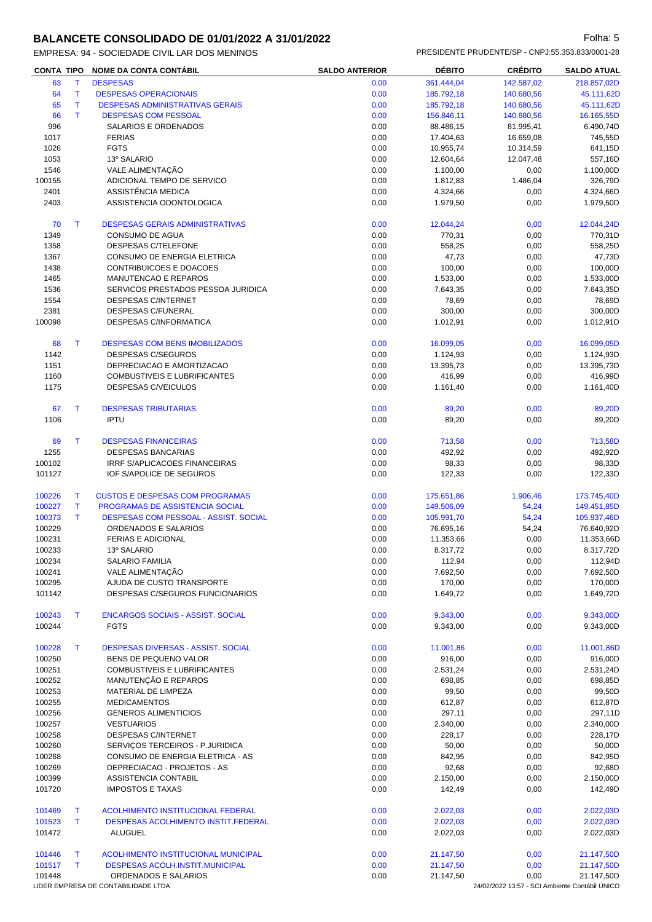# **BALANCETE CONSOLIDADO DE 01/01/2022 A 31/01/2022 Folha: 5** Folha: 5

| <b>CONTA TIPO</b> |             | <b>NOME DA CONTA CONTÁBIL</b>                               | <b>SALDO ANTERIOR</b> | <b>DÉBITO</b>            | <b>CRÉDITO</b>                                 | <b>SALDO ATUAL</b> |
|-------------------|-------------|-------------------------------------------------------------|-----------------------|--------------------------|------------------------------------------------|--------------------|
| 63                | т           | <b>DESPESAS</b>                                             | 0,00                  | 361.444,04               | 142.587,02                                     | 218.857,02D        |
| 64                | $\mathsf T$ | <b>DESPESAS OPERACIONAIS</b>                                | 0,00                  | 185.792,18               | 140.680,56                                     | 45.111,62D         |
| 65                | $\mathsf T$ | <b>DESPESAS ADMINISTRATIVAS GERAIS</b>                      | 0,00                  | 185.792,18               | 140.680,56                                     | 45.111,62D         |
| 66                | T.          | <b>DESPESAS COM PESSOAL</b>                                 | 0,00                  | 156.846,11               | 140.680,56                                     | 16.165,55D         |
| 996               |             | SALARIOS E ORDENADOS                                        | 0,00                  | 88.486,15                | 81.995,41                                      | 6.490,74D          |
| 1017              |             | <b>FERIAS</b>                                               | 0,00                  | 17.404,63                | 16.659,08                                      | 745,55D            |
| 1026              |             | <b>FGTS</b>                                                 | 0,00                  | 10.955,74                | 10.314,59                                      | 641,15D            |
| 1053              |             | 13º SALARIO                                                 | 0,00                  | 12.604,64                | 12.047,48                                      | 557,16D            |
| 1546              |             | VALE ALIMENTAÇÃO                                            | 0,00                  | 1.100,00                 | 0,00                                           | 1.100,00D          |
| 100155            |             | ADICIONAL TEMPO DE SERVICO                                  | 0,00                  | 1.812,83                 | 1.486,04                                       | 326,79D            |
| 2401              |             | ASSISTÊNCIA MEDICA                                          | 0,00                  | 4.324,66                 | 0,00                                           | 4.324,66D          |
| 2403              |             | ASSISTENCIA ODONTOLOGICA                                    | 0,00                  | 1.979,50                 | 0,00                                           | 1.979,50D          |
|                   |             |                                                             |                       |                          |                                                |                    |
| 70                | T           | <b>DESPESAS GERAIS ADMINISTRATIVAS</b>                      | 0,00                  | 12.044,24                | 0,00                                           | 12.044,24D         |
| 1349              |             | CONSUMO DE AGUA                                             | 0,00                  | 770,31                   | 0,00                                           | 770,31D            |
| 1358              |             | DESPESAS C/TELEFONE                                         | 0,00                  | 558,25                   | 0,00                                           | 558,25D            |
| 1367              |             | CONSUMO DE ENERGIA ELETRICA                                 | 0,00                  | 47,73                    | 0,00                                           | 47,73D             |
| 1438              |             | CONTRIBUICOES E DOACOES                                     | 0,00                  | 100,00                   | 0,00                                           | 100,00D            |
| 1465              |             | <b>MANUTENCAO E REPAROS</b>                                 | 0,00                  | 1.533,00                 | 0,00                                           | 1.533,00D          |
| 1536              |             | SERVICOS PRESTADOS PESSOA JURIDICA                          | 0,00                  | 7.643,35                 | 0,00                                           | 7.643,35D          |
| 1554              |             | <b>DESPESAS C/INTERNET</b>                                  | 0,00                  | 78,69                    | 0,00                                           | 78,69D             |
| 2381              |             | DESPESAS C/FUNERAL                                          | 0,00                  | 300,00                   | 0,00                                           | 300,00D            |
| 100098            |             | DESPESAS C/INFORMATICA                                      | 0,00                  | 1.012,91                 | 0,00                                           | 1.012,91D          |
|                   | T           |                                                             |                       |                          |                                                | 16.099,05D         |
| 68                |             | <b>DESPESAS COM BENS IMOBILIZADOS</b><br>DESPESAS C/SEGUROS | 0,00<br>0,00          | 16.099,05                | 0,00                                           |                    |
| 1142<br>1151      |             |                                                             |                       | 1.124,93                 | 0,00<br>0,00                                   | 1.124,93D          |
|                   |             | DEPRECIACAO E AMORTIZACAO                                   | 0,00                  | 13.395,73                |                                                | 13.395,73D         |
| 1160              |             | COMBUSTIVEIS E LUBRIFICANTES                                | 0,00                  | 416,99                   | 0,00                                           | 416,99D            |
| 1175              |             | DESPESAS C/VEICULOS                                         | 0,00                  | 1.161,40                 | 0,00                                           | 1.161,40D          |
| 67                | т           | <b>DESPESAS TRIBUTARIAS</b>                                 | 0,00                  | 89,20                    | 0,00                                           | 89,20D             |
| 1106              |             | <b>IPTU</b>                                                 | 0,00                  | 89,20                    | 0,00                                           | 89,20D             |
|                   |             |                                                             |                       |                          |                                                |                    |
| 69                | T           | <b>DESPESAS FINANCEIRAS</b>                                 | 0,00                  | 713,58                   | 0,00                                           | 713,58D            |
| 1255              |             | DESPESAS BANCARIAS                                          | 0,00                  | 492,92                   | 0,00                                           | 492,92D            |
| 100102            |             | IRRF S/APLICACOES FINANCEIRAS                               | 0,00                  | 98,33                    | 0,00                                           | 98,33D             |
| 101127            |             | IOF S/APOLICE DE SEGUROS                                    | 0,00                  | 122,33                   | 0,00                                           | 122,33D            |
|                   | т           | <b>CUSTOS E DESPESAS COM PROGRAMAS</b>                      | 0,00                  |                          | 1.906,46                                       | 173.745,40D        |
| 100226<br>100227  | T           | <b>PROGRAMAS DE ASSISTENCIA SOCIAL</b>                      | 0,00                  | 175.651,86<br>149.506,09 | 54,24                                          | 149.451,85D        |
|                   | T           | DESPESAS COM PESSOAL - ASSIST. SOCIAL                       |                       |                          |                                                |                    |
| 100373            |             | <b>ORDENADOS E SALARIOS</b>                                 | 0,00                  | 105.991,70               | 54,24                                          | 105.937,46D        |
| 100229            |             | <b>FERIAS E ADICIONAL</b>                                   | 0,00                  | 76.695,16                | 54,24                                          | 76.640,92D         |
| 100231            |             |                                                             | 0,00                  | 11.353,66                | 0,00                                           | 11.353,66D         |
| 100233            |             | 13º SALARIO                                                 | 0,00                  | 8.317,72                 | 0,00                                           | 8.317,72D          |
| 100234            |             | <b>SALARIO FAMILIA</b>                                      | 0,00                  | 112,94                   | 0,00                                           | 112,94D            |
| 100241            |             | VALE ALIMENTAÇÃO                                            | 0,00                  | 7.692,50                 | 0,00                                           | 7.692,50D          |
| 100295            |             | AJUDA DE CUSTO TRANSPORTE                                   | 0,00                  | 170,00                   | 0,00                                           | 170,00D            |
| 101142            |             | DESPESAS C/SEGUROS FUNCIONARIOS                             | 0,00                  | 1.649,72                 | 0,00                                           | 1.649,72D          |
| 100243            | т           | <b>ENCARGOS SOCIAIS - ASSIST. SOCIAL</b>                    | 0,00                  | 9.343,00                 | 0,00                                           | 9.343,00D          |
| 100244            |             | <b>FGTS</b>                                                 | 0,00                  | 9.343,00                 | 0,00                                           | 9.343,00D          |
|                   |             |                                                             |                       |                          |                                                |                    |
| 100228            | T           | DESPESAS DIVERSAS - ASSIST. SOCIAL                          | 0,00                  | 11.001,86                | 0,00                                           | 11.001,86D         |
| 100250            |             | BENS DE PEQUENO VALOR                                       | 0,00                  | 916,00                   | 0,00                                           | 916,00D            |
| 100251            |             | COMBUSTIVEIS E LUBRIFICANTES                                | 0,00                  | 2.531,24                 | 0,00                                           | 2.531,24D          |
| 100252            |             | MANUTENÇÃO E REPAROS                                        | 0,00                  | 698,85                   | 0,00                                           | 698,85D            |
| 100253            |             | MATERIAL DE LIMPEZA                                         | 0,00                  | 99,50                    | 0,00                                           | 99,50D             |
| 100255            |             | <b>MEDICAMENTOS</b>                                         | 0,00                  | 612,87                   | 0,00                                           | 612,87D            |
| 100256            |             | <b>GENEROS ALIMENTICIOS</b>                                 | 0,00                  | 297,11                   | 0,00                                           | 297,11D            |
| 100257            |             | <b>VESTUARIOS</b>                                           | 0,00                  | 2.340,00                 | 0,00                                           | 2.340,00D          |
| 100258            |             | DESPESAS C/INTERNET                                         | 0,00                  | 228,17                   | 0,00                                           | 228,17D            |
| 100260            |             | SERVIÇOS TERCEIROS - P.JURIDICA                             | 0,00                  | 50,00                    | 0,00                                           | 50,00D             |
| 100268            |             | CONSUMO DE ENERGIA ELETRICA - AS                            | 0,00                  | 842,95                   | 0,00                                           | 842,95D            |
| 100269            |             | DEPRECIACAO - PROJETOS - AS                                 | 0,00                  | 92,68                    | 0,00                                           | 92,68D             |
| 100399            |             | ASSISTENCIA CONTABIL                                        | 0,00                  | 2.150,00                 | 0,00                                           | 2.150,00D          |
| 101720            |             | <b>IMPOSTOS E TAXAS</b>                                     | 0,00                  | 142,49                   | 0,00                                           | 142,49D            |
|                   |             |                                                             |                       |                          |                                                |                    |
| 101469            | Т           | <b>ACOLHIMENTO INSTITUCIONAL FEDERAL</b>                    | 0,00                  | 2.022,03                 | 0,00                                           | 2.022,03D          |
| 101523            | T           | <b>DESPESAS ACOLHIMENTO INSTIT.FEDERAL</b>                  | 0,00                  | 2.022,03                 | 0,00                                           | 2.022,03D          |
| 101472            |             | <b>ALUGUEL</b>                                              | 0,00                  | 2.022,03                 | 0,00                                           | 2.022,03D          |
| 101446            | Т           | ACOLHIMENTO INSTITUCIONAL MUNICIPAL                         | 0,00                  | 21.147,50                | 0,00                                           | 21.147,50D         |
| 101517            | т           | <b>DESPESAS ACOLH.INSTIT.MUNICIPAL</b>                      | 0,00                  | 21.147,50                | 0,00                                           | 21.147,50D         |
| 101448            |             | ORDENADOS E SALARIOS                                        | 0,00                  | 21.147,50                | 0,00                                           | 21.147,50D         |
|                   |             | LIDER EMPRESA DE CONTABILIDADE LTDA                         |                       |                          | 24/02/2022 13:57 - SCI Ambiente Contábil ÚNICO |                    |